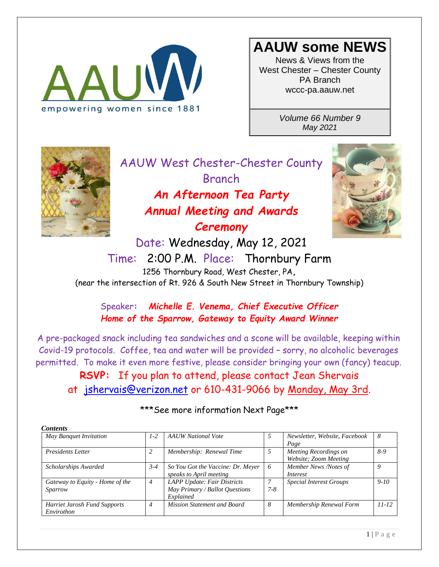

## **AAUW some NEWS**

News & Views from the West Chester – Chester County PA Branch wccc-pa.aauw.net

> *Volume 66 Number 9 May 2021*



AAUW West Chester-Chester County Branch *An Afternoon Tea Party Annual Meeting and Awards Ceremony* Date: Wednesday, May 12, 2021



Time: 2:00 P.M. Place: Thornbury Farm [1256 Thornbury Road, West Chester, PA](https://goo.gl/maps/4pvB9)**,** (near the intersection of Rt. 926 & South New Street in Thornbury Township)

Speaker**:** *Michelle E. Venema, Chief Executive Officer Home of the Sparrow, Gateway to Equity Award Winner*

A pre-packaged snack including tea sandwiches and a scone will be available, keeping within Covid-19 protocols. Coffee, tea and water will be provided – sorry, no alcoholic beverages permitted. To make it even more festive, please consider bringing your own (fancy) teacup.

**RSVP:** If you plan to attend, please contact Jean Shervais at [jshervais@verizon.net](mailto:jshervais@verizon.net) or 610-431-9066 by Monday, May 3rd.

| <b>Contents</b>                                   |                |                                                                            |              |                                                |           |
|---------------------------------------------------|----------------|----------------------------------------------------------------------------|--------------|------------------------------------------------|-----------|
| May Banquet Invitation                            | $1-2$          | <b>AAUW</b> National Vote                                                  | 5            | Newsletter, Website, Facebook<br>Page          | -8        |
| <b>Presidents Letter</b>                          |                | Membership: Renewal Time                                                   | 5            | Meeting Recordings on<br>Website; Zoom Meeting | $8-9$     |
| Scholarships Awarded                              | $3 - 4$        | So You Got the Vaccine: Dr. Meyer<br>speaks to April meeting               | -6           | Member News /Notes of<br>Interest              | 9         |
| Gateway to Equity - Home of the<br>Sparrow        | $\overline{4}$ | LAPP Update: Fair Districts<br>May Primary / Ballot Questions<br>Explained | 7<br>$7 - 8$ | <b>Special Interest Groups</b>                 | $9-10$    |
| <b>Harriet Jarosh Fund Supports</b><br>Envirothon | $\overline{4}$ | Mission Statement and Board                                                | 8            | Membership Renewal Form                        | $11 - 12$ |

#### \*\*\* See more information Next Page\*\*\*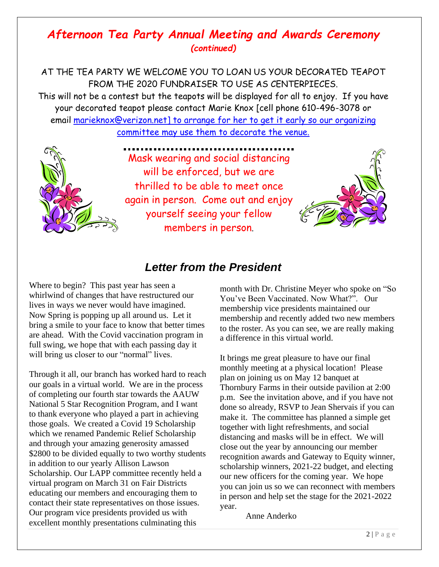### *Afternoon Tea Party Annual Meeting and Awards Ceremony (continued)*

AT THE TEA PARTY WE WELCOME YOU TO LOAN US YOUR DECORATED TEAPOT FROM THE 2020 FUNDRAISER TO USE AS CENTERPIECES.

This will not be a contest but the teapots will be displayed for all to enjoy. If you have your decorated teapot please contact Marie Knox [cell phone 610-496-3078 or email [marieknox@verizon.net\]](mailto:marieknox@verizon.net) to arrange for her to get it early so our organizing committee may use them to decorate the venue.



Mask wearing and social distancing will be enforced, but we are thrilled to be able to meet once again in person. Come out and enjoy yourself seeing your fellow members in person.



### *Letter from the President*

Where to begin? This past year has seen a whirlwind of changes that have restructured our lives in ways we never would have imagined. Now Spring is popping up all around us. Let it bring a smile to your face to know that better times are ahead. With the Covid vaccination program in full swing, we hope that with each passing day it will bring us closer to our "normal" lives.

Through it all, our branch has worked hard to reach our goals in a virtual world. We are in the process of completing our fourth star towards the AAUW National 5 Star Recognition Program, and I want to thank everyone who played a part in achieving those goals. We created a Covid 19 Scholarship which we renamed Pandemic Relief Scholarship and through your amazing generosity amassed \$2800 to be divided equally to two worthy students in addition to our yearly Allison Lawson Scholarship. Our LAPP committee recently held a virtual program on March 31 on Fair Districts educating our members and encouraging them to contact their state representatives on those issues. Our program vice presidents provided us with excellent monthly presentations culminating this

month with Dr. Christine Meyer who spoke on "So You've Been Vaccinated. Now What?". Our membership vice presidents maintained our membership and recently added two new members to the roster. As you can see, we are really making a difference in this virtual world.

It brings me great pleasure to have our final monthly meeting at a physical location! Please plan on joining us on May 12 banquet at Thornbury Farms in their outside pavilion at 2:00 p.m. See the invitation above, and if you have not done so already, RSVP to Jean Shervais if you can make it. The committee has planned a simple get together with light refreshments, and social distancing and masks will be in effect. We will close out the year by announcing our member recognition awards and Gateway to Equity winner, scholarship winners, 2021-22 budget, and electing our new officers for the coming year. We hope you can join us so we can reconnect with members in person and help set the stage for the 2021-2022 year.

Anne Anderko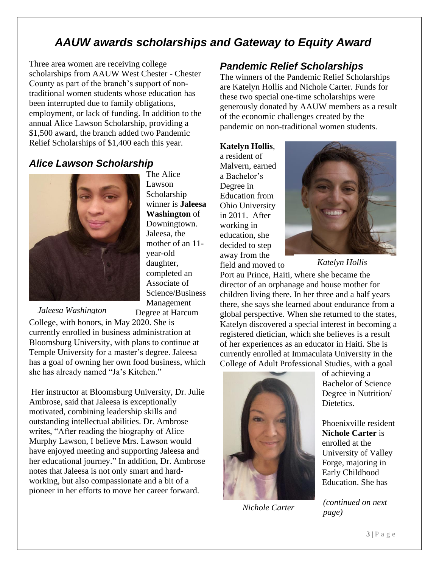### *AAUW awards scholarships and Gateway to Equity Award*

Three area women are receiving college scholarships from AAUW West Chester - Chester County as part of the branch's support of nontraditional women students whose education has been interrupted due to family obligations, employment, or lack of funding. In addition to the annual Alice Lawson Scholarship, providing a \$1,500 award, the branch added two Pandemic Relief Scholarships of \$1,400 each this year.

### *Alice Lawson Scholarship*



The Alice Lawson Scholarship winner is **Jaleesa Washington** of Downingtown. Jaleesa, the mother of an 11 year-old daughter, completed an Associate of Science/Business Management Degree at Harcum

*Jaleesa Washington*

College, with honors, in May 2020. She is currently enrolled in business administration at Bloomsburg University, with plans to continue at Temple University for a master's degree. Jaleesa has a goal of owning her own food business, which she has already named "Ja's Kitchen."

Her instructor at Bloomsburg University, Dr. Julie Ambrose, said that Jaleesa is exceptionally motivated, combining leadership skills and outstanding intellectual abilities. Dr. Ambrose writes, "After reading the biography of Alice Murphy Lawson, I believe Mrs. Lawson would have enjoyed meeting and supporting Jaleesa and her educational journey." In addition, Dr. Ambrose notes that Jaleesa is not only smart and hardworking, but also compassionate and a bit of a pioneer in her efforts to move her career forward.

### *Pandemic Relief Scholarships*

The winners of the Pandemic Relief Scholarships are Katelyn Hollis and Nichole Carter. Funds for these two special one-time scholarships were generously donated by AAUW members as a result of the economic challenges created by the pandemic on non-traditional women students.

**Katelyn Hollis**, a resident of Malvern, earned a Bachelor's Degree in Education from Ohio University in 2011. After working in education, she decided to step away from the field and moved to



*Katelyn Hollis*

Port au Prince, Haiti, where she became the director of an orphanage and house mother for children living there. In her three and a half years there, she says she learned about endurance from a global perspective. When she returned to the states, Katelyn discovered a special interest in becoming a registered dietician, which she believes is a result of her experiences as an educator in Haiti. She is currently enrolled at Immaculata University in the College of Adult Professional Studies, with a goal



*Nichole Carter*

of achieving a Bachelor of Science Degree in Nutrition/ Dietetics.

Phoenixville resident **Nichole Carter** is enrolled at the University of Valley Forge, majoring in Early Childhood Education. She has

*(continued on next page)*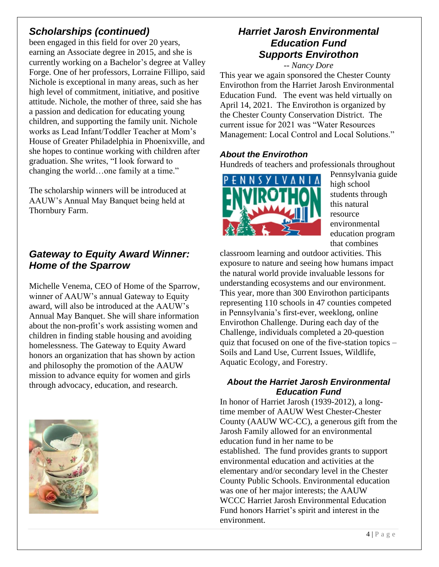### *Scholarships (continued)*

been engaged in this field for over 20 years, earning an Associate degree in 2015, and she is currently working on a Bachelor's degree at Valley Forge. One of her professors, Lorraine Fillipo, said Nichole is exceptional in many areas, such as her high level of commitment, initiative, and positive attitude. Nichole, the mother of three, said she has a passion and dedication for educating young children, and supporting the family unit. Nichole works as Lead Infant/Toddler Teacher at Mom's House of Greater Philadelphia in Phoenixville, and she hopes to continue working with children after graduation. She writes, "I look forward to changing the world…one family at a time."

The scholarship winners will be introduced at AAUW's Annual May Banquet being held at Thornbury Farm.

### *Gateway to Equity Award Winner: Home of the Sparrow*

Michelle Venema, CEO of Home of the Sparrow, winner of AAUW's annual Gateway to Equity award, will also be introduced at the AAUW's Annual May Banquet. She will share information about the non-profit's work assisting women and children in finding stable housing and avoiding homelessness. The Gateway to Equity Award honors an organization that has shown by action and philosophy the promotion of the AAUW mission to advance equity for women and girls through advocacy, education, and research.



### *Harriet Jarosh Environmental Education Fund Supports Envirothon*

*-- Nancy Dore*

This year we again sponsored the Chester County Envirothon from the Harriet Jarosh Environmental Education Fund. The event was held virtually on April 14, 2021. The Envirothon is organized by the Chester County Conservation District. The current issue for 2021 was "Water Resources Management: Local Control and Local Solutions."

#### *About the Envirothon*

Hundreds of teachers and professionals throughout



Pennsylvania guide high school students through this natural resource environmental education program that combines

classroom learning and outdoor activities. This exposure to nature and seeing how humans impact the natural world provide invaluable lessons for understanding ecosystems and our environment. This year, more than 300 Envirothon participants representing 110 schools in 47 counties competed in Pennsylvania's first-ever, weeklong, online Envirothon Challenge. During each day of the Challenge, individuals completed a 20-question quiz that focused on one of the five-station topics – Soils and Land Use, Current Issues, Wildlife, Aquatic Ecology, and Forestry.

#### *About the Harriet Jarosh Environmental Education Fund*

In honor of Harriet Jarosh (1939-2012), a longtime member of AAUW West Chester-Chester County (AAUW WC-CC), a generous gift from the Jarosh Family allowed for an environmental education fund in her name to be established. The fund provides grants to support environmental education and activities at the elementary and/or secondary level in the Chester County Public Schools. Environmental education was one of her major interests; the AAUW WCCC Harriet Jarosh Environmental Education Fund honors Harriet's spirit and interest in the environment.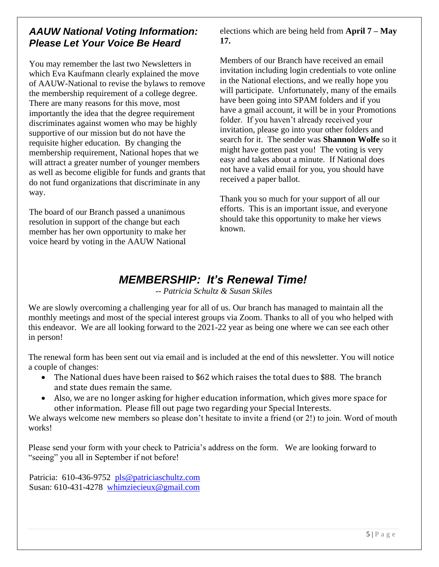### *AAUW National Voting Information: Please Let Your Voice Be Heard*

You may remember the last two Newsletters in which Eva Kaufmann clearly explained the move of AAUW-National to revise the bylaws to remove the membership requirement of a college degree. There are many reasons for this move, most importantly the idea that the degree requirement discriminates against women who may be highly supportive of our mission but do not have the requisite higher education. By changing the membership requirement, National hopes that we will attract a greater number of younger members as well as become eligible for funds and grants that do not fund organizations that discriminate in any way.

The board of our Branch passed a unanimous resolution in support of the change but each member has her own opportunity to make her voice heard by voting in the AAUW National elections which are being held from **April 7 – May 17.**

Members of our Branch have received an email invitation including login credentials to vote online in the National elections, and we really hope you will participate. Unfortunately, many of the emails have been going into SPAM folders and if you have a gmail account, it will be in your Promotions folder. If you haven't already received your invitation, please go into your other folders and search for it. The sender was **Shannon Wolfe** so it might have gotten past you! The voting is very easy and takes about a minute. If National does not have a valid email for you, you should have received a paper ballot.

Thank you so much for your support of all our efforts. This is an important issue, and everyone should take this opportunity to make her views known.

### *MEMBERSHIP: It's Renewal Time!*

*-- Patricia Schultz & Susan Skiles*

We are slowly overcoming a challenging year for all of us. Our branch has managed to maintain all the monthly meetings and most of the special interest groups via Zoom. Thanks to all of you who helped with this endeavor. We are all looking forward to the 2021-22 year as being one where we can see each other in person!

The renewal form has been sent out via email and is included at the end of this newsletter. You will notice a couple of changes:

- The National dues have been raised to \$62 which raises the total dues to \$88. The branch and state dues remain the same.
- Also, we are no longer asking for higher education information, which gives more space for other information. Please fill out page two regarding your Special Interests.

We always welcome new members so please don't hesitate to invite a friend (or 2!) to join. Word of mouth works!

Please send your form with your check to Patricia's address on the form. We are looking forward to "seeing" you all in September if not before!

Patricia: 610-436-9752 pls@patriciaschultz.com Susan: 610-431-4278 [whimziecieux@gmail.com](mailto:whimziecieux@gmail.com)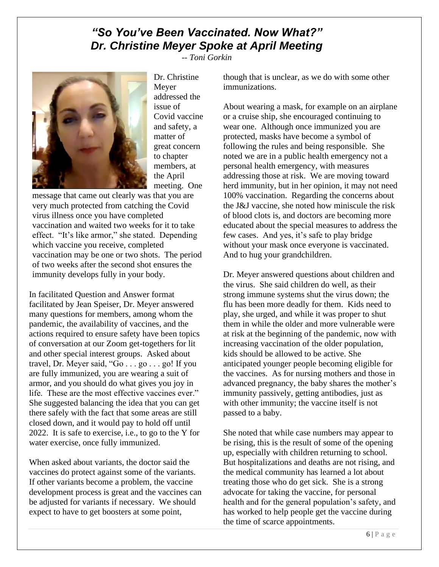### *"So You've Been Vaccinated. Now What?" Dr. Christine Meyer Spoke at April Meeting*

*-- Toni Gorkin*



Dr. Christine Meyer addressed the issue of Covid vaccine and safety, a matter of great concern to chapter members, at the April meeting. One

message that came out clearly was that you are very much protected from catching the Covid virus illness once you have completed vaccination and waited two weeks for it to take effect. "It's like armor," she stated. Depending which vaccine you receive, completed vaccination may be one or two shots. The period of two weeks after the second shot ensures the immunity develops fully in your body.

In facilitated Question and Answer format facilitated by Jean Speiser, Dr. Meyer answered many questions for members, among whom the pandemic, the availability of vaccines, and the actions required to ensure safety have been topics of conversation at our Zoom get-togethers for lit and other special interest groups. Asked about travel, Dr. Meyer said, " $Go \dots go \dots go!$  If you are fully immunized, you are wearing a suit of armor, and you should do what gives you joy in life. These are the most effective vaccines ever." She suggested balancing the idea that you can get there safely with the fact that some areas are still closed down, and it would pay to hold off until 2022. It is safe to exercise, i.e., to go to the Y for water exercise, once fully immunized.

When asked about variants, the doctor said the vaccines do protect against some of the variants. If other variants become a problem, the vaccine development process is great and the vaccines can be adjusted for variants if necessary. We should expect to have to get boosters at some point,

though that is unclear, as we do with some other immunizations.

About wearing a mask, for example on an airplane or a cruise ship, she encouraged continuing to wear one. Although once immunized you are protected, masks have become a symbol of following the rules and being responsible. She noted we are in a public health emergency not a personal health emergency, with measures addressing those at risk. We are moving toward herd immunity, but in her opinion, it may not need 100% vaccination. Regarding the concerns about the J&J vaccine, she noted how miniscule the risk of blood clots is, and doctors are becoming more educated about the special measures to address the few cases. And yes, it's safe to play bridge without your mask once everyone is vaccinated. And to hug your grandchildren.

Dr. Meyer answered questions about children and the virus. She said children do well, as their strong immune systems shut the virus down; the flu has been more deadly for them. Kids need to play, she urged, and while it was proper to shut them in while the older and more vulnerable were at risk at the beginning of the pandemic, now with increasing vaccination of the older population, kids should be allowed to be active. She anticipated younger people becoming eligible for the vaccines. As for nursing mothers and those in advanced pregnancy, the baby shares the mother's immunity passively, getting antibodies, just as with other immunity; the vaccine itself is not passed to a baby.

She noted that while case numbers may appear to be rising, this is the result of some of the opening up, especially with children returning to school. But hospitalizations and deaths are not rising, and the medical community has learned a lot about treating those who do get sick. She is a strong advocate for taking the vaccine, for personal health and for the general population's safety, and has worked to help people get the vaccine during the time of scarce appointments.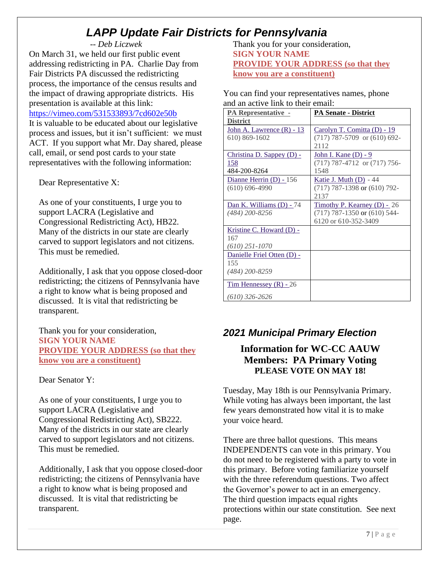## *LAPP Update Fair Districts for Pennsylvania*

#### *-- Deb Liczwek*

On March 31, we held our first public event addressing redistricting in PA. Charlie Day from Fair Districts PA discussed the redistricting process, the importance of the census results and the impact of drawing appropriate districts. His presentation is available at this link:

#### <https://vimeo.com/531533893/7cd602e50b>

It is valuable to be educated about our legislative process and issues, but it isn't sufficient: we must ACT. If you support what Mr. Day shared, please call, email, or send post cards to your state representatives with the following information:

Dear Representative X:

As one of your constituents, I urge you to support LACRA (Legislative and Congressional Redistricting Act), HB22. Many of the districts in our state are clearly carved to support legislators and not citizens. This must be remedied.

Additionally, I ask that you oppose closed-door redistricting; the citizens of Pennsylvania have a right to know what is being proposed and discussed. It is vital that redistricting be transparent.

Thank you for your consideration, **SIGN YOUR NAME PROVIDE YOUR ADDRESS (so that they know you are a constituent)**

Dear Senator Y:

As one of your constituents, I urge you to support LACRA (Legislative and Congressional Redistricting Act), SB222. Many of the districts in our state are clearly carved to support legislators and not citizens. This must be remedied.

Additionally, I ask that you oppose closed-door redistricting; the citizens of Pennsylvania have a right to know what is being proposed and discussed. It is vital that redistricting be transparent.

Thank you for your consideration, **SIGN YOUR NAME PROVIDE YOUR ADDRESS (so that they know you are a constituent)**

You can find your representatives names, phone and an active link to their email:

| <b>PA Representative -</b>  | <b>PA Senate - District</b>      |
|-----------------------------|----------------------------------|
| <b>District</b>             |                                  |
| John A. Lawrence $(R) - 13$ | Carolyn T. Comitta (D) - 19      |
| 610) 869-1602               | $(717)$ 787-5709 or $(610)$ 692- |
|                             | 2112                             |
| Christina D. Sappey $(D)$ - | John I. Kane (D) - 9             |
| 158                         | (717) 787-4712 or (717) 756-     |
| 484-200-8264                | 1548                             |
| Dianne Herrin (D) - 156     | <b>Katie J. Muth (D)</b> - 44    |
| $(610) 696 - 4990$          | $(717)$ 787-1398 or $(610)$ 792- |
|                             | 2137                             |
| Dan K. Williams (D) - 74    | Timothy P. Kearney (D) - 26      |
| (484) 200-8256              | $(717)$ 787-1350 or $(610)$ 544- |
|                             | 6120 or 610-352-3409             |
| Kristine C. Howard (D) -    |                                  |
| 167                         |                                  |
| $(610)$ 251-1070            |                                  |
| Danielle Friel Otten (D) -  |                                  |
| 155                         |                                  |
| $(484)$ 200-8259            |                                  |
| Tim Hennessey $(R)$ - 26    |                                  |
| $(610)$ 326-2626            |                                  |

### *2021 Municipal Primary Election*

### **Information for WC-CC AAUW Members: PA Primary Voting PLEASE VOTE ON MAY 18!**

Tuesday, May 18th is our Pennsylvania Primary. While voting has always been important, the last few years demonstrated how vital it is to make your voice heard.

There are three ballot questions. This means INDEPENDENTS can vote in this primary. You do not need to be registered with a party to vote in this primary. Before voting familiarize yourself with the three referendum questions. Two affect the Governor's power to act in an emergency. The third question impacts equal rights protections within our state constitution. See next page.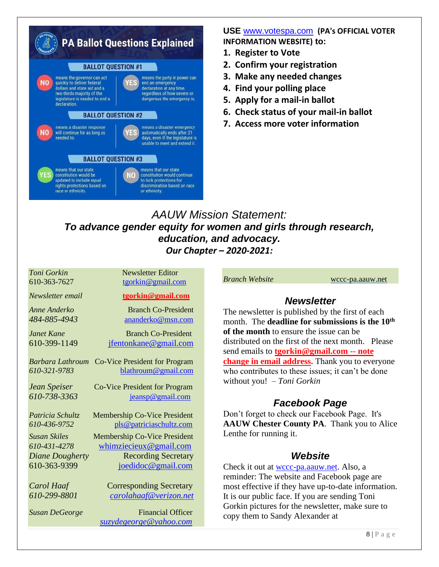

#### **USE** [www.votespa.com](https://gcc01.safelinks.protection.outlook.com/?url=http%3A%2F%2Fwww.votespa.com%2F&data=04%7C01%7C%7Cd211747338fb46d4956b08d8c9409838%7Ce95f1b23abaf45ee821db7ab251ab3bf%7C0%7C0%7C637480626569257706%7CUnknown%7CTWFpbGZsb3d8eyJWIjoiMC4wLjAwMDAiLCJQIjoiV2luMzIiLCJBTiI6Ik1haWwiLCJXVCI6Mn0%3D%7C1000&sdata=c0T%2B%2F9rvPG8%2FHthTfyGxz8XBbTKb%2B8wq3Euj5Nqq8pw%3D&reserved=0) **(PA's OFFICIAL VOTER INFORMATION WEBSITE) to:**

- **1. Register to Vote**
- **2. Confirm your registration**
- **3. Make any needed changes**
- **4. Find your polling place**
- **5. Apply for a mail-in ballot**
- **6. Check status of your mail-in ballot**
- **7. Access more voter information**

*AAUW Mission Statement: To advance gender equity for women and girls through research, education, and advocacy. Our Chapter – 2020-2021:*

| Toni Gorkin            | <b>Newsletter Editor</b>             |
|------------------------|--------------------------------------|
| 610-363-7627           | tgorkin@gmail.com                    |
| Newsletter email       | tgorkin@gmail.com                    |
| Anne Anderko           | <b>Branch Co-President</b>           |
| 484-885-4943           | ananderko@msn.com                    |
| Janet Kane             | <b>Branch Co-President</b>           |
| 610-399-1149           | jfentonkane@gmail.com                |
| Barbara Lathroum       | <b>Co-Vice President for Program</b> |
| 610-321-9783           | blathroum@gmail.com                  |
| Jean Speiser           | Co-Vice President for Program        |
| 610-738-3363           | jeansp@gmail.com                     |
| Patricia Schultz       | <b>Membership Co-Vice President</b>  |
| 610-436-9752           | pls@patriciaschultz.com              |
| <b>Susan Skiles</b>    | <b>Membership Co-Vice President</b>  |
| 610-431-4278           | whimziecieux@gmail.com               |
| <b>Diane Dougherty</b> | <b>Recording Secretary</b>           |
| 610-363-9399           | joedidoc@gmail.com                   |
| Carol Haaf             | <b>Corresponding Secretary</b>       |
| 610-299-8801           | <u>carolahaaf@verizon.net</u>        |
| <b>Susan DeGeorge</b>  | <b>Financial Officer</b>             |
|                        | suzydegeorge@yahoo.com               |

*Branch Website* [wccc-pa.aauw.net](http://wccc-pa.aauw.net/)

#### *Newsletter*

The newsletter is published by the first of each month. The **deadline for submissions is the 10th of the month** to ensure the issue can be distributed on the first of the next month. Please send emails to **[tgorkin@gmail.com](mailto:tgorkin@gmail.com) -- note change in email address.** Thank you to everyone who contributes to these issues; it can't be done without you! – *Toni Gorkin*

### *Facebook Page*

Don't forget to check our Facebook Page. It's **AAUW Chester County PA**. Thank you to Alice Lenthe for running it.

#### *Website*

Check it out at [wccc-pa.aauw.net.](http://wccc-pa.aauw.net/) Also, a reminder: The website and Facebook page are most effective if they have up-to-date information. It is our public face. If you are sending Toni Gorkin pictures for the newsletter, make sure to copy them to Sandy Alexander at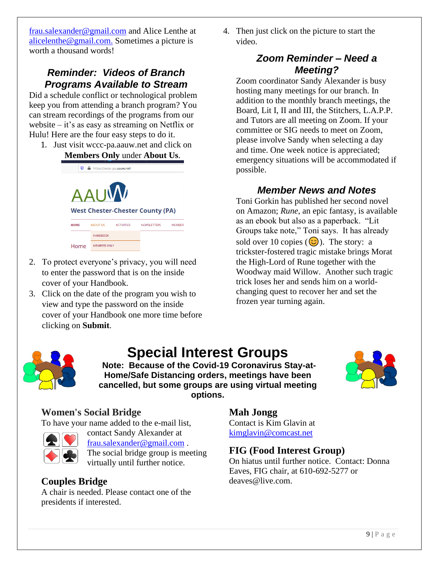[frau.salexander@gmail.com](mailto:frau.salexander@gmail.com) and Alice Lenthe at [alicelenthe@gmail.com.](mailto:alicelenthe@gmail.com.%20Sometimes) Sometimes a picture is worth a thousand words!

### *Reminder: Videos of Branch Programs Available to Stream*

Did a schedule conflict or technological problem keep you from attending a branch program? You can stream recordings of the programs from our website – it's as easy as streaming on Netflix or Hulu! Here are the four easy steps to do it.

1. Just visit wccc-pa.aauw.net and click on **Members Only** under **About Us**.



- 2. To protect everyone's privacy, you will need to enter the password that is on the inside cover of your Handbook.
- 3. Click on the date of the program you wish to view and type the password on the inside cover of your Handbook one more time before clicking on **Submit**.

4. Then just click on the picture to start the video.

### *Zoom Reminder – Need a Meeting?*

Zoom coordinator Sandy Alexander is busy hosting many meetings for our branch. In addition to the monthly branch meetings, the Board, Lit I, II and III, the Stitchers, L.A.P.P. and Tutors are all meeting on Zoom. If your committee or SIG needs to meet on Zoom, please involve Sandy when selecting a day and time. One week notice is appreciated; emergency situations will be accommodated if possible.

### *Member News and Notes*

Toni Gorkin has published her second novel on Amazon; *Rune*, an epic fantasy, is available as an ebook but also as a paperback. "Lit Groups take note," Toni says. It has already sold over 10 copies  $(\odot)$ . The story: a trickster-fostered tragic mistake brings Morat the High-Lord of Rune together with the Woodway maid Willow. Another such tragic trick loses her and sends him on a worldchanging quest to recover her and set the frozen year turning again.



# **Special Interest Groups**

**Note: Because of the Covid-19 Coronavirus Stay-at-Home/Safe Distancing orders, meetings have been cancelled, but some groups are using virtual meeting options.** 



### **Women's Social Bridge**

To have your name added to the e-mail list,



contact Sandy Alexander at [frau.salexander@gmail.com](mailto:frau.salexander@gmail.com) . The social bridge group is meeting virtually until further notice.

### **Couples Bridge**

A chair is needed. Please contact one of the presidents if interested.

### **Mah Jongg**

Contact is Kim Glavin at [kimglavin@comcast.net](mailto:kimglavin@comcast.net)

### **FIG (Food Interest Group)**

On hiatus until further notice. Contact: Donna Eaves, FIG chair, at 610-692-5277 or deaves@live.com.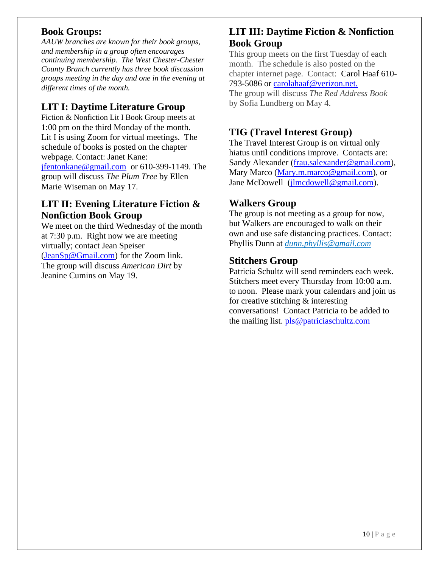#### **Book Groups:**

*AAUW branches are known for their book groups, and membership in a group often encourages continuing membership. The West Chester-Chester County Branch currently has three book discussion groups meeting in the day and one in the evening at different times of the month.* 

#### **LIT I: Daytime Literature Group**

Fiction & Nonfiction Lit I Book Group meets at 1:00 pm on the third Monday of the month. Lit I is using Zoom for virtual meetings. The schedule of books is posted on the chapter webpage. Contact: Janet Kane: [jfentonkane@gmail.com](mailto:jfentonkane@gmail.com) or 610-399-1149. The group will discuss *The Plum Tree* by Ellen Marie Wiseman on May 17.

#### **LIT II: Evening Literature Fiction & Nonfiction Book Group**

We meet on the third Wednesday of the month at 7:30 p.m. Right now we are meeting virtually; contact Jean Speiser [\(JeanSp@Gmail.com\)](mailto:JeanSp@Gmail.com) for the Zoom link. The group will discuss *American Dirt* by Jeanine Cumins on May 19.

### **LIT III: Daytime Fiction & Nonfiction Book Group**

This group meets on the first Tuesday of each month. The schedule is also posted on the chapter internet page. Contact: Carol Haaf 610- 793-5086 or [carolahaaf@verizon.net.](mailto:carolhaaf@verizon.net)

The group will discuss *The Red Address Book*  by Sofia Lundberg on May 4.

### **TIG (Travel Interest Group)**

The Travel Interest Group is on virtual only hiatus until conditions improve. Contacts are: Sandy Alexander [\(frau.salexander@gmail.com\)](mailto:frau.salexander@gmail.com), Mary Marco [\(Mary.m.marco@gmail.com\)](mailto:Mary.m.marco@gmail.com), or Jane McDowell [\(jlmcdowell@gmail.com\)](mailto:jlmcdowell@gmail.com).

#### **Walkers Group**

The group is not meeting as a group for now, but Walkers are encouraged to walk on their own and use safe distancing practices. Contact: Phyllis Dunn at *[dunn.phyllis@gmail.com](mailto:dunn.phyllis@gmail.com)*

#### **Stitchers Group**

Patricia Schultz will send reminders each week. Stitchers meet every Thursday from 10:00 a.m. to noon. Please mark your calendars and join us for creative stitching & interesting conversations! Contact Patricia to be added to the mailing list. [pls@patriciaschultz.com](mailto:pls@patriciaschultz.com)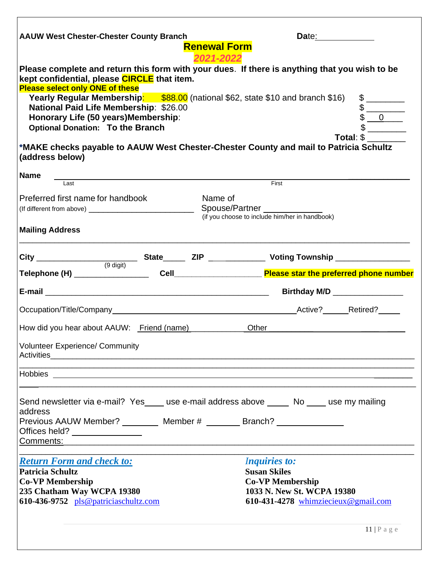| <b>AAUW West Chester-Chester County Branch</b>                                                                                                                                                                                     | <b>Renewal Form</b> | Date: the contract of the contract of the contract of the contract of the contract of the contract of the contract of the contract of the contract of the contract of the contract of the contract of the contract of the cont |           |  |
|------------------------------------------------------------------------------------------------------------------------------------------------------------------------------------------------------------------------------------|---------------------|--------------------------------------------------------------------------------------------------------------------------------------------------------------------------------------------------------------------------------|-----------|--|
| Please complete and return this form with your dues. If there is anything that you wish to be<br>kept confidential, please CIRCLE that item.<br><b>Please select only ONE of these</b>                                             | 2021-2022           |                                                                                                                                                                                                                                |           |  |
| National Paid Life Membership: \$26.00<br>Honorary Life (50 years) Membership:<br><b>Optional Donation: To the Branch</b>                                                                                                          |                     | Yearly Regular Membership: \$88.00 (national \$62, state \$10 and branch \$16)                                                                                                                                                 |           |  |
| *MAKE checks payable to AAUW West Chester-Chester County and mail to Patricia Schultz<br>(address below)                                                                                                                           |                     |                                                                                                                                                                                                                                | Total: \$ |  |
| <b>Name</b><br>Last                                                                                                                                                                                                                |                     | First                                                                                                                                                                                                                          |           |  |
| Preferred first name for handbook                                                                                                                                                                                                  | Name of             |                                                                                                                                                                                                                                |           |  |
| <b>Mailing Address</b>                                                                                                                                                                                                             |                     |                                                                                                                                                                                                                                |           |  |
|                                                                                                                                                                                                                                    |                     |                                                                                                                                                                                                                                |           |  |
|                                                                                                                                                                                                                                    |                     |                                                                                                                                                                                                                                |           |  |
|                                                                                                                                                                                                                                    |                     |                                                                                                                                                                                                                                |           |  |
|                                                                                                                                                                                                                                    |                     | Birthday M/D ________________                                                                                                                                                                                                  |           |  |
|                                                                                                                                                                                                                                    |                     |                                                                                                                                                                                                                                |           |  |
| Activities <b>Example 2018</b> Activities <b>Activities</b>                                                                                                                                                                        |                     | Other                                                                                                                                                                                                                          |           |  |
| How did you hear about AAUW: Friend (name)<br><b>Volunteer Experience/ Community</b>                                                                                                                                               |                     |                                                                                                                                                                                                                                |           |  |
| Send newsletter via e-mail? Yes____ use e-mail address above _____ No ____ use my mailing<br>address<br>Previous AAUW Member? __________ Member # ________ Branch? _______________<br>Offices held? _________________<br>Comments: |                     |                                                                                                                                                                                                                                |           |  |
| <b>Return Form and check to:</b><br><b>Patricia Schultz</b><br><b>Co-VP Membership</b><br>235 Chatham Way WCPA 19380<br>610-436-9752 $pls@patriciaschultz.com$                                                                     |                     | <i>Inquiries to:</i><br><b>Susan Skiles</b><br><b>Co-VP Membership</b><br>1033 N. New St. WCPA 19380<br>610-431-4278 whimziecieux@gmail.com                                                                                    |           |  |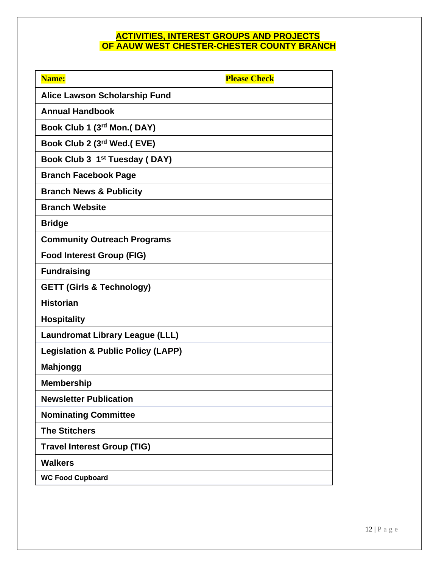#### **ACTIVITIES, INTEREST GROUPS AND PROJECTS OF AAUW WEST CHESTER-CHESTER COUNTY BRANCH**

| Name:                                         | <b>Please Check</b> |
|-----------------------------------------------|---------------------|
| <b>Alice Lawson Scholarship Fund</b>          |                     |
| <b>Annual Handbook</b>                        |                     |
| Book Club 1 (3rd Mon.(DAY)                    |                     |
| Book Club 2 (3rd Wed.( EVE)                   |                     |
| Book Club 3 1 <sup>st</sup> Tuesday (DAY)     |                     |
| <b>Branch Facebook Page</b>                   |                     |
| <b>Branch News &amp; Publicity</b>            |                     |
| <b>Branch Website</b>                         |                     |
| <b>Bridge</b>                                 |                     |
| <b>Community Outreach Programs</b>            |                     |
| <b>Food Interest Group (FIG)</b>              |                     |
| <b>Fundraising</b>                            |                     |
| <b>GETT (Girls &amp; Technology)</b>          |                     |
| <b>Historian</b>                              |                     |
| <b>Hospitality</b>                            |                     |
| <b>Laundromat Library League (LLL)</b>        |                     |
| <b>Legislation &amp; Public Policy (LAPP)</b> |                     |
| <b>Mahjongg</b>                               |                     |
| <b>Membership</b>                             |                     |
| <b>Newsletter Publication</b>                 |                     |
| <b>Nominating Committee</b>                   |                     |
| <b>The Stitchers</b>                          |                     |
| <b>Travel Interest Group (TIG)</b>            |                     |
| <b>Walkers</b>                                |                     |
| <b>WC Food Cupboard</b>                       |                     |